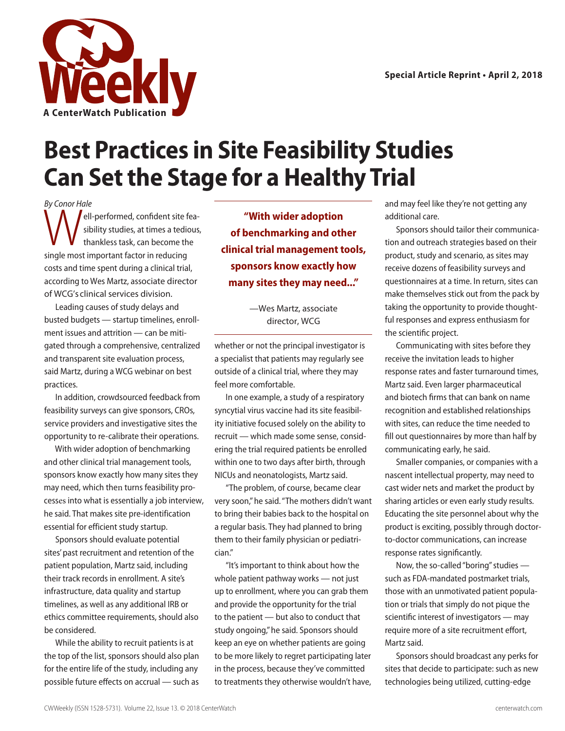

## **Best Practices in Site Feasibility Studies Can Set the Stage for a Healthy Trial**

By Conor Hale By Conor Hale<br>
ell-performed, confident site fea-<br>
sibility studies, at times a tedious<br>
thankless task, can become the sibility studies, at times a tedious, thankless task, can become the single most important factor in reducing costs and time spent during a clinical trial, according to Wes Martz, associate director of WCG's clinical services division.

Leading causes of study delays and busted budgets — startup timelines, enrollment issues and attrition — can be mitigated through a comprehensive, centralized and transparent site evaluation process, said Martz, during a WCG webinar on best practices.

In addition, crowdsourced feedback from feasibility surveys can give sponsors, CROs, service providers and investigative sites the opportunity to re-calibrate their operations.

With wider adoption of benchmarking and other clinical trial management tools, sponsors know exactly how many sites they may need, which then turns feasibility processes into what is essentially a job interview, he said. That makes site pre-identification essential for efficient study startup.

Sponsors should evaluate potential sites' past recruitment and retention of the patient population, Martz said, including their track records in enrollment. A site's infrastructure, data quality and startup timelines, as well as any additional IRB or ethics committee requirements, should also be considered.

While the ability to recruit patients is at the top of the list, sponsors should also plan for the entire life of the study, including any possible future effects on accrual — such as

**"With wider adoption of benchmarking and other clinical trial management tools, sponsors know exactly how many sites they may need..."**

> —Wes Martz, associate director, WCG

whether or not the principal investigator is a specialist that patients may regularly see outside of a clinical trial, where they may feel more comfortable.

In one example, a study of a respiratory syncytial virus vaccine had its site feasibility initiative focused solely on the ability to recruit — which made some sense, considering the trial required patients be enrolled within one to two days after birth, through NICUs and neonatologists, Martz said.

"The problem, of course, became clear very soon," he said. "The mothers didn't want to bring their babies back to the hospital on a regular basis. They had planned to bring them to their family physician or pediatrician."

"It's important to think about how the whole patient pathway works — not just up to enrollment, where you can grab them and provide the opportunity for the trial to the patient — but also to conduct that study ongoing," he said. Sponsors should keep an eye on whether patients are going to be more likely to regret participating later in the process, because they've committed to treatments they otherwise wouldn't have,

and may feel like they're not getting any additional care.

Sponsors should tailor their communication and outreach strategies based on their product, study and scenario, as sites may receive dozens of feasibility surveys and questionnaires at a time. In return, sites can make themselves stick out from the pack by taking the opportunity to provide thoughtful responses and express enthusiasm for the scientific project.

Communicating with sites before they receive the invitation leads to higher response rates and faster turnaround times, Martz said. Even larger pharmaceutical and biotech firms that can bank on name recognition and established relationships with sites, can reduce the time needed to fill out questionnaires by more than half by communicating early, he said.

Smaller companies, or companies with a nascent intellectual property, may need to cast wider nets and market the product by sharing articles or even early study results. Educating the site personnel about why the product is exciting, possibly through doctorto-doctor communications, can increase response rates significantly.

Now, the so-called "boring" studies such as FDA-mandated postmarket trials, those with an unmotivated patient population or trials that simply do not pique the scientific interest of investigators — may require more of a site recruitment effort, Martz said.

Sponsors should broadcast any perks for sites that decide to participate: such as new technologies being utilized, cutting-edge